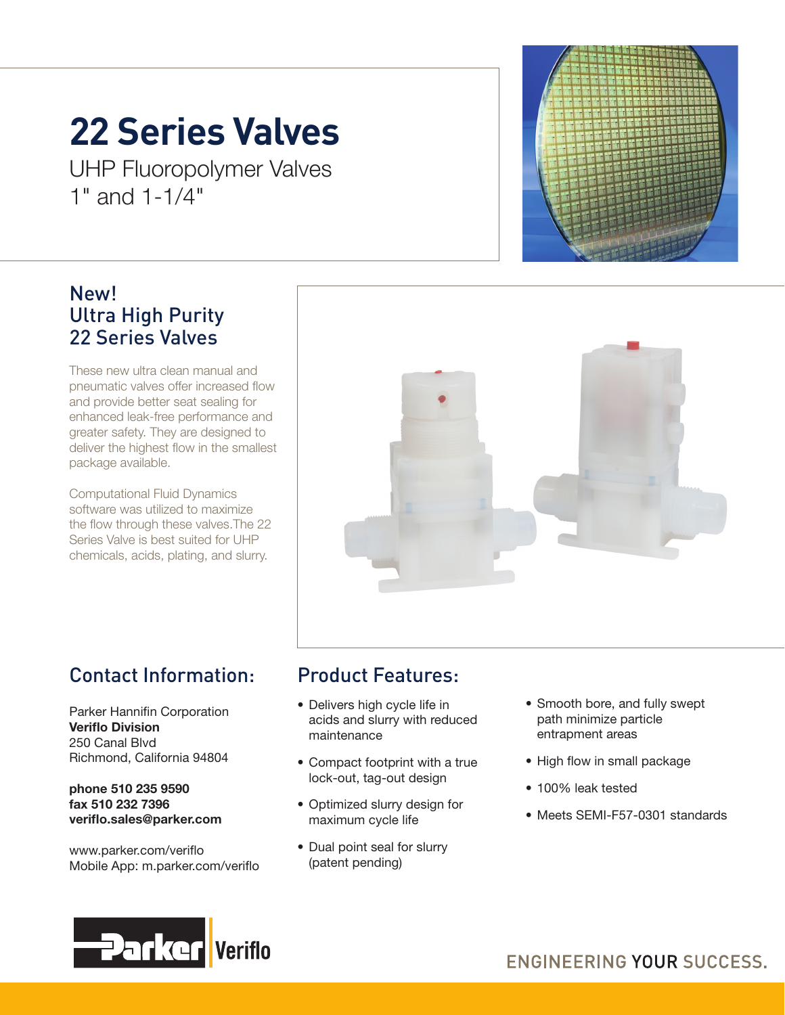## **22 Series Valves**

UHP Fluoropolymer Valves 1" and 1-1/4"

### New! Ultra High Purity 22 Series Valves

These new ultra clean manual and pneumatic valves offer increased flow and provide better seat sealing for enhanced leak-free performance and greater safety. They are designed to deliver the highest flow in the smallest package available.

Computational Fluid Dynamics software was utilized to maximize the flow through these valves.The 22 Series Valve is best suited for UHP chemicals, acids, plating, and slurry.



## Contact Information:

Parker Hannifin Corporation Veriflo Division 250 Canal Blvd Richmond, California 94804

phone 510 235 9590 fax 510 232 7396 veriflo.sales@parker.com

www.parker.com/veriflo Mobile App: m.parker.com/veriflo

## Product Features:

- Delivers high cycle life in acids and slurry with reduced maintenance
- Compact footprint with a true lock-out, tag-out design
- Optimized slurry design for maximum cycle life
- Dual point seal for slurry (patent pending)
- Smooth bore, and fully swept path minimize particle entrapment areas
- High flow in small package
- 100% leak tested
- Meets SEMI-F57-0301 standards

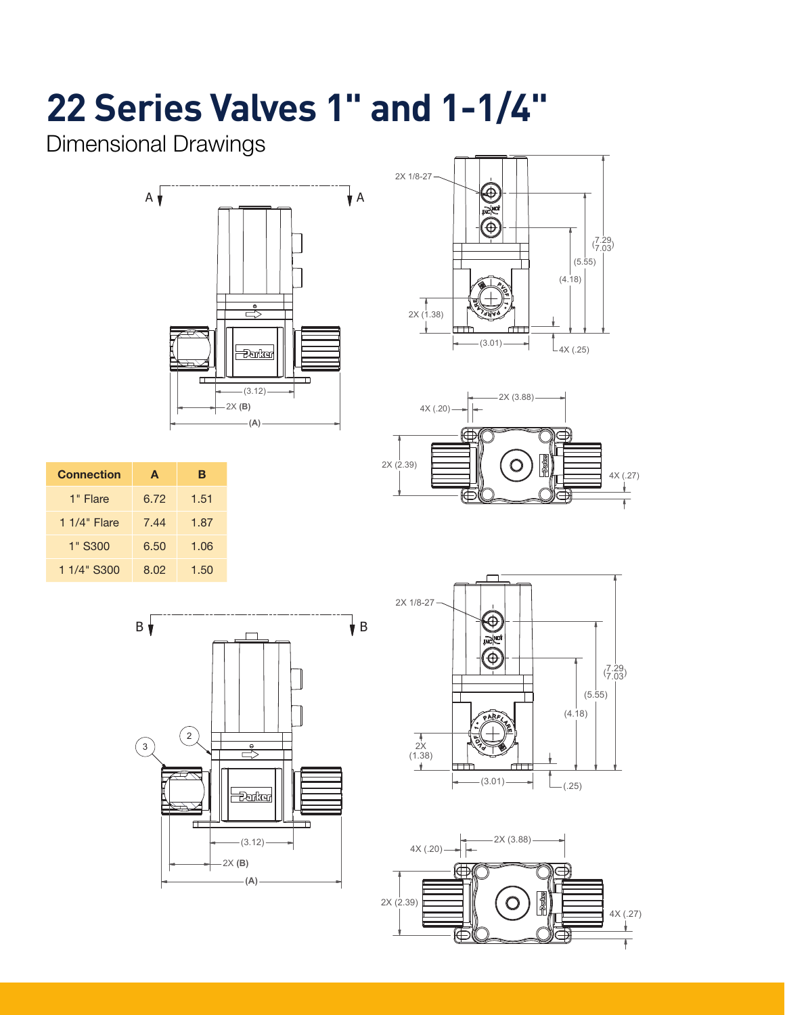## **22 Series Valves 1" and 1-1/4"**

Dimensional Drawings







| <b>Connection</b> | A    | в    |
|-------------------|------|------|
| 1" Flare          | 6.72 | 1.51 |
| $11/4$ " Flare    | 7.44 | 1.87 |
| 1" S300           | 6.50 | 1.06 |
| 1 1/4" S300       | 8.02 | 1.50 |





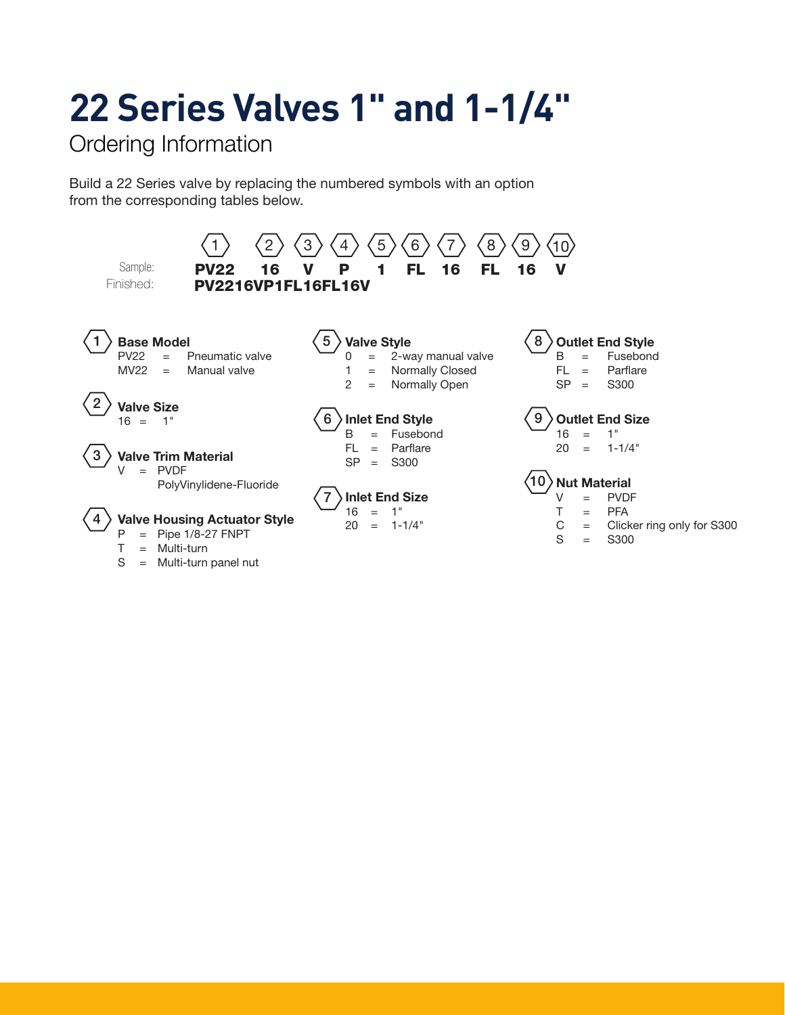# **22 Series Valves 1" and 1-1/4"**

Ordering Information

Build a 22 Series valve by replacing the numbered symbols with an option from the corresponding tables below.